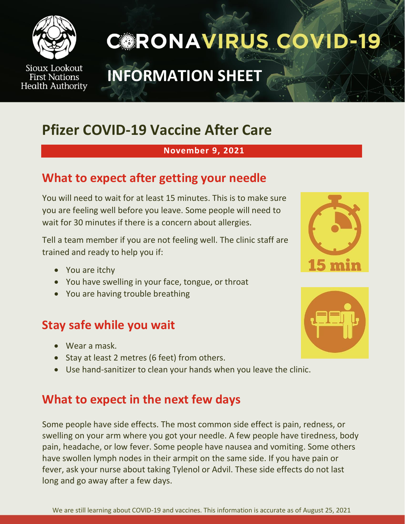

Sioux Lookout **First Nations Health Authority** 

# **CORONAVIRUS COVID-19**

## **INFORMATION SHEET**

### **Pfizer COVID-19 Vaccine After Care**

#### **November 9, 2021**

#### **What to expect after getting your needle**

You will need to wait for at least 15 minutes. This is to make sure you are feeling well before you leave. Some people will need to wait for 30 minutes if there is a concern about allergies.

Tell a team member if you are not feeling well. The clinic staff are trained and ready to help you if:

- You are itchy
- You have swelling in your face, tongue, or throat
- You are having trouble breathing

#### **Stay safe while you wait**

- Wear a mask.
- Stay at least 2 metres (6 feet) from others.
- Use hand-sanitizer to clean your hands when you leave the clinic.

#### **What to expect in the next few days**

Some people have side effects. The most common side effect is pain, redness, or swelling on your arm where you got your needle. A few people have tiredness, body pain, headache, or low fever. Some people have nausea and vomiting. Some others have swollen lymph nodes in their armpit on the same side. If you have pain or fever, ask your nurse about taking Tylenol or Advil. These side effects do not last long and go away after a few days.